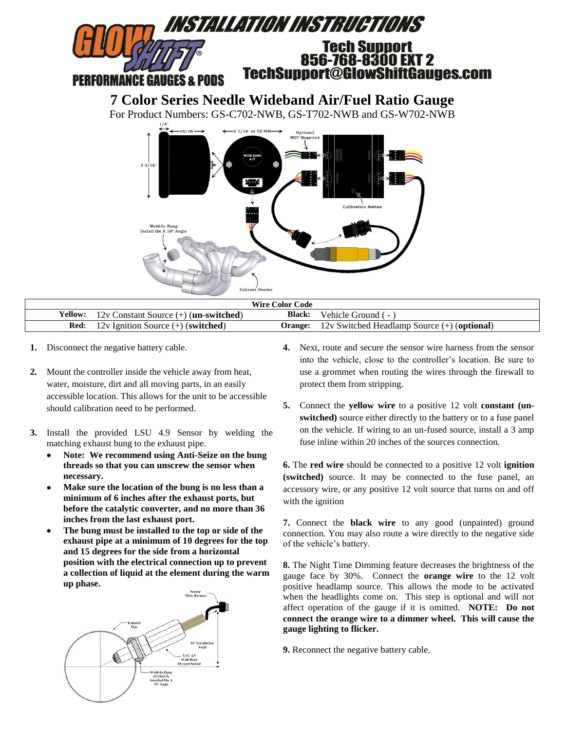

| <b>Wire Color Code</b> |                                                                 |               |                                                                |  |  |
|------------------------|-----------------------------------------------------------------|---------------|----------------------------------------------------------------|--|--|
|                        | <b>Yellow:</b> 12y Constant Source $(+)$ ( <b>un-switched</b> ) | <b>Black:</b> | Vehicle Ground (-)                                             |  |  |
|                        | <b>Red:</b> 12v Ignition Source $(+)$ (switched)                |               | <b>Orange:</b> $12v$ Switched Headlamp Source $(+)$ (optional) |  |  |

- **1.** Disconnect the negative battery cable.
- **2.** Mount the controller inside the vehicle away from heat, water, moisture, dirt and all moving parts, in an easily accessible location. This allows for the unit to be accessible should calibration need to be performed.
- **3.** Install the provided LSU 4.9 Sensor by welding the matching exhaust bung to the exhaust pipe.
	- **Note: We recommend using Anti-Seize on the bung threads so that you can unscrew the sensor when necessary.**
	- **Make sure the location of the bung is no less than a minimum of 6 inches after the exhaust ports, but before the catalytic converter, and no more than 36 inches from the last exhaust port.**
	- **The bung must be installed to the top or side of the exhaust pipe at a minimum of 10 degrees for the top and 15 degrees for the side from a horizontal position with the electrical connection up to prevent a collection of liquid at the element during the warm up phase.**



- **4.** Next, route and secure the sensor wire harness from the sensor into the vehicle, close to the controller's location. Be sure to use a grommet when routing the wires through the firewall to protect them from stripping.
- **5.** Connect the **yellow wire** to a positive 12 volt **constant (unswitched)** source either directly to the battery or to a fuse panel on the vehicle. If wiring to an un-fused source, install a 3 amp fuse inline within 20 inches of the sources connection.

**6.** The **red wire** should be connected to a positive 12 volt **ignition (switched)** source. It may be connected to the fuse panel, an accessory wire, or any positive 12 volt source that turns on and off with the ignition

**7.** Connect the **black wire** to any good (unpainted) ground connection. You may also route a wire directly to the negative side of the vehicle's battery.

**8.** The Night Time Dimming feature decreases the brightness of the gauge face by 30%. Connect the **orange wire** to the 12 volt positive headlamp source. This allows the mode to be activated when the headlights come on. This step is optional and will not affect operation of the gauge if it is omitted. **NOTE: Do not connect the orange wire to a dimmer wheel. This will cause the gauge lighting to flicker.**

**9.** Reconnect the negative battery cable.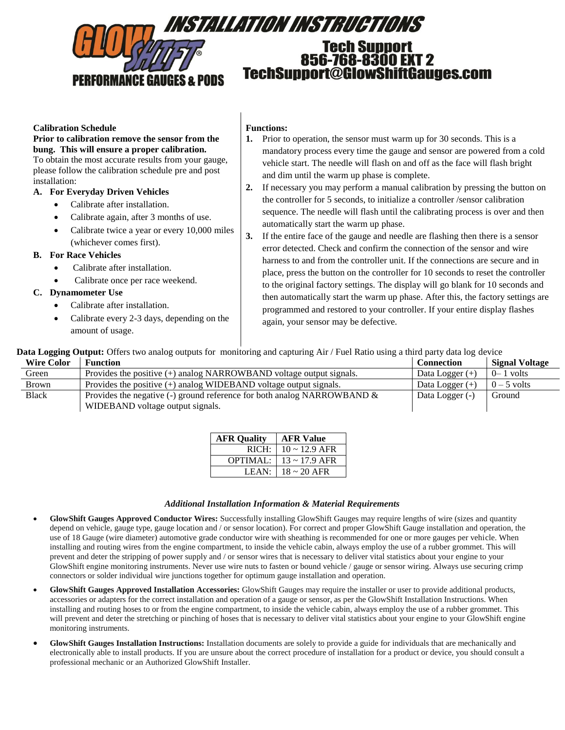

### **Calibration Schedule**

#### **Prior to calibration remove the sensor from the bung. This will ensure a proper calibration.**

To obtain the most accurate results from your gauge, please follow the calibration schedule pre and post installation:

### **A. For Everyday Driven Vehicles**

- Calibrate after installation.
- Calibrate again, after 3 months of use.
- Calibrate twice a year or every 10,000 miles (whichever comes first).

### **B. For Race Vehicles**

- Calibrate after installation.
- Calibrate once per race weekend.

## **C. Dynamometer Use**

- Calibrate after installation.
- Calibrate every 2-3 days, depending on the amount of usage.

### **Functions:**

- **1.** Prior to operation, the sensor must warm up for 30 seconds. This is a mandatory process every time the gauge and sensor are powered from a cold vehicle start. The needle will flash on and off as the face will flash bright and dim until the warm up phase is complete.
- **2.** If necessary you may perform a manual calibration by pressing the button on the controller for 5 seconds, to initialize a controller /sensor calibration sequence. The needle will flash until the calibrating process is over and then automatically start the warm up phase.
- **3.** If the entire face of the gauge and needle are flashing then there is a sensor error detected. Check and confirm the connection of the sensor and wire harness to and from the controller unit. If the connections are secure and in place, press the button on the controller for 10 seconds to reset the controller to the original factory settings. The display will go blank for 10 seconds and then automatically start the warm up phase. After this, the factory settings are programmed and restored to your controller. If your entire display flashes again, your sensor may be defective.

**Data Logging Output:** Offers two analog outputs for monitoring and capturing Air / Fuel Ratio using a third party data log device

| <b>Wire Color</b> | <b>Function</b>                                                            | <b>Connection</b> | <b>Signal Voltage</b> |
|-------------------|----------------------------------------------------------------------------|-------------------|-----------------------|
| Green             | Provides the positive $(+)$ analog NARROWBAND voltage output signals.      | Data Logger $(+)$ | $0 - 1$ volts         |
| <b>Brown</b>      | Provides the positive $(+)$ analog WIDEBAND voltage output signals.        | Data Logger $(+)$ | $0-5$ volts           |
| <b>Black</b>      | Provides the negative (-) ground reference for both analog NARROWBAND $\&$ | Data Logger (-)   | Ground                |
|                   | WIDEBAND voltage output signals.                                           |                   |                       |

| <b>AFR Quality</b> | <b>AFR Value</b>         |
|--------------------|--------------------------|
| RICH:              | $10 \sim 12.9$ AFR       |
| <b>OPTIMAL:</b>    | $13 \sim 17.9$ AFR       |
| LEAN:              | $18 \sim 20 \text{ AFR}$ |

### *Additional Installation Information & Material Requirements*

- **GlowShift Gauges Approved Conductor Wires:** Successfully installing GlowShift Gauges may require lengths of wire (sizes and quantity depend on vehicle, gauge type, gauge location and / or sensor location). For correct and proper GlowShift Gauge installation and operation, the use of 18 Gauge (wire diameter) automotive grade conductor wire with sheathing is recommended for one or more gauges per vehicle. When installing and routing wires from the engine compartment, to inside the vehicle cabin, always employ the use of a rubber grommet. This will prevent and deter the stripping of power supply and / or sensor wires that is necessary to deliver vital statistics about your engine to your GlowShift engine monitoring instruments. Never use wire nuts to fasten or bound vehicle / gauge or sensor wiring. Always use securing crimp connectors or solder individual wire junctions together for optimum gauge installation and operation.
- **GlowShift Gauges Approved Installation Accessories:** GlowShift Gauges may require the installer or user to provide additional products, accessories or adapters for the correct installation and operation of a gauge or sensor, as per the GlowShift Installation Instructions. When installing and routing hoses to or from the engine compartment, to inside the vehicle cabin, always employ the use of a rubber grommet. This will prevent and deter the stretching or pinching of hoses that is necessary to deliver vital statistics about your engine to your GlowShift engine monitoring instruments.
- **GlowShift Gauges Installation Instructions:** Installation documents are solely to provide a guide for individuals that are mechanically and electronically able to install products. If you are unsure about the correct procedure of installation for a product or device, you should consult a professional mechanic or an Authorized GlowShift Installer.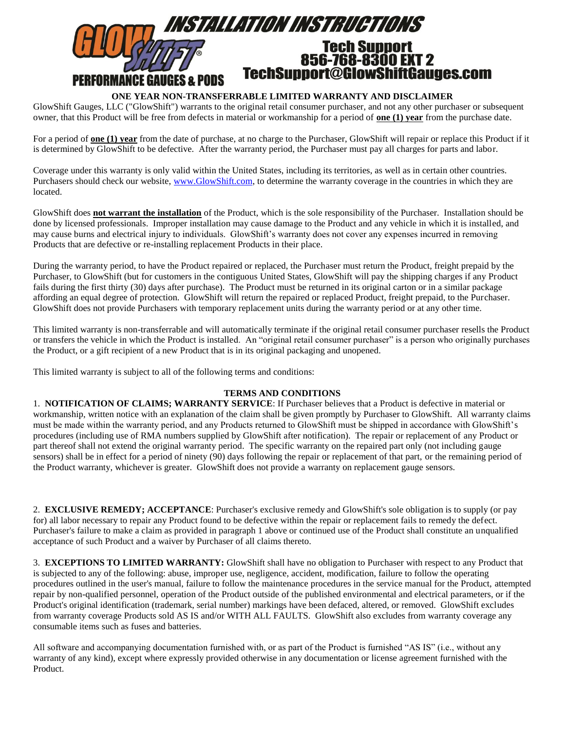

# **ONE YEAR NON-TRANSFERRABLE LIMITED WARRANTY AND DISCLAIMER**

GlowShift Gauges, LLC ("GlowShift") warrants to the original retail consumer purchaser, and not any other purchaser or subsequent owner, that this Product will be free from defects in material or workmanship for a period of **one (1) year** from the purchase date.

For a period of **one (1) year** from the date of purchase, at no charge to the Purchaser, GlowShift will repair or replace this Product if it is determined by GlowShift to be defective. After the warranty period, the Purchaser must pay all charges for parts and labor.

Coverage under this warranty is only valid within the United States, including its territories, as well as in certain other countries. Purchasers should check our website, [www.GlowShift.com,](http://www.glowshift.com/) to determine the warranty coverage in the countries in which they are located.

GlowShift does **not warrant the installation** of the Product, which is the sole responsibility of the Purchaser. Installation should be done by licensed professionals. Improper installation may cause damage to the Product and any vehicle in which it is installed, and may cause burns and electrical injury to individuals. GlowShift's warranty does not cover any expenses incurred in removing Products that are defective or re-installing replacement Products in their place.

During the warranty period, to have the Product repaired or replaced, the Purchaser must return the Product, freight prepaid by the Purchaser, to GlowShift (but for customers in the contiguous United States, GlowShift will pay the shipping charges if any Product fails during the first thirty (30) days after purchase). The Product must be returned in its original carton or in a similar package affording an equal degree of protection. GlowShift will return the repaired or replaced Product, freight prepaid, to the Purchaser. GlowShift does not provide Purchasers with temporary replacement units during the warranty period or at any other time.

This limited warranty is non-transferrable and will automatically terminate if the original retail consumer purchaser resells the Product or transfers the vehicle in which the Product is installed. An "original retail consumer purchaser" is a person who originally purchases the Product, or a gift recipient of a new Product that is in its original packaging and unopened.

This limited warranty is subject to all of the following terms and conditions:

## **TERMS AND CONDITIONS**

1. **NOTIFICATION OF CLAIMS; WARRANTY SERVICE**: If Purchaser believes that a Product is defective in material or workmanship, written notice with an explanation of the claim shall be given promptly by Purchaser to GlowShift. All warranty claims must be made within the warranty period, and any Products returned to GlowShift must be shipped in accordance with GlowShift's procedures (including use of RMA numbers supplied by GlowShift after notification). The repair or replacement of any Product or part thereof shall not extend the original warranty period. The specific warranty on the repaired part only (not including gauge sensors) shall be in effect for a period of ninety (90) days following the repair or replacement of that part, or the remaining period of the Product warranty, whichever is greater. GlowShift does not provide a warranty on replacement gauge sensors.

2. **EXCLUSIVE REMEDY; ACCEPTANCE**: Purchaser's exclusive remedy and GlowShift's sole obligation is to supply (or pay for) all labor necessary to repair any Product found to be defective within the repair or replacement fails to remedy the defect. Purchaser's failure to make a claim as provided in paragraph 1 above or continued use of the Product shall constitute an unqualified acceptance of such Product and a waiver by Purchaser of all claims thereto.

3. **EXCEPTIONS TO LIMITED WARRANTY:** GlowShift shall have no obligation to Purchaser with respect to any Product that is subjected to any of the following: abuse, improper use, negligence, accident, modification, failure to follow the operating procedures outlined in the user's manual, failure to follow the maintenance procedures in the service manual for the Product, attempted repair by non-qualified personnel, operation of the Product outside of the published environmental and electrical parameters, or if the Product's original identification (trademark, serial number) markings have been defaced, altered, or removed. GlowShift excludes from warranty coverage Products sold AS IS and/or WITH ALL FAULTS. GlowShift also excludes from warranty coverage any consumable items such as fuses and batteries.

All software and accompanying documentation furnished with, or as part of the Product is furnished "AS IS" (i.e., without any warranty of any kind), except where expressly provided otherwise in any documentation or license agreement furnished with the Product.